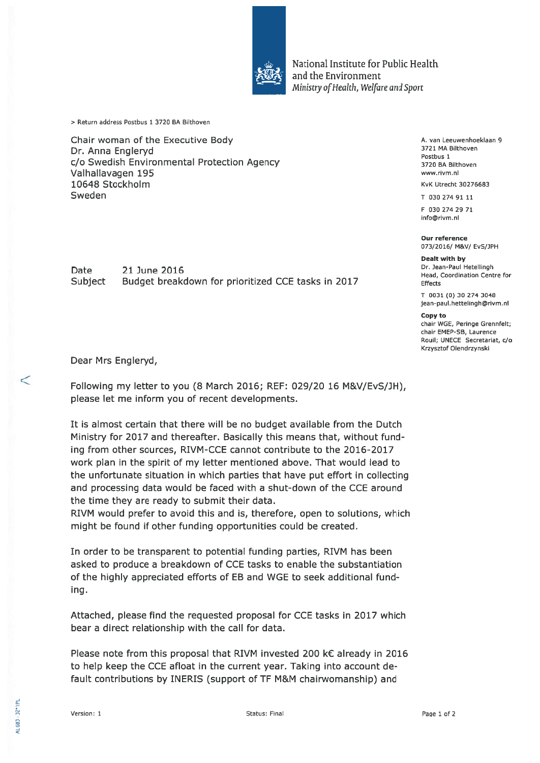

National Institute for Public Health and the Environment Ministry of Health, Welfare and Sport

<sup>&</sup>gt; Return address Postbus 1 3720 BA Bilthoven

Chair woman of the Executive Body Dr. Anna Engleryd c/o Swedish Environmental Protection Agency Valhallavagen 195 10648 Stockholm Sweden

Date 21 June 2016 Subject Budget breakdown for prioritized CCE tasks in 2017 A. van Leeuwenhoeklaan 9 3721 MA Bilthoven Postbus 1 3720 BA Bilthoven www.rivm.nI

KvK Utrecht 30276683

T 030 274 91 11

F 030 274 29 71 info©rivm.nI

Our reference 073/2016/ M&V/ EvS/]PH

Dealt with by Dr. Jean-Paul Hetellingh Head, Coordination Centre for Effects

T 0031 (0) 30 274 3048 jean-paul.hettelingh©rivm.nI

Copy to

chair WGE, Peringe Grennfelt; chair EMEP-SB, Laurence Rouil; UNECE Secretariat, c/o Krzysztof Olendrzynski

Dear Mrs Engleryd,

Following my letter to you (8 March 2016; REE: 029/20 16 M&V/EvS/JH), please let me inform you of recent developments.

It is almost certain that there will be no budget available from the Dutch Ministry for 2017 and thereafter. Basically this means that, without fund ing from other sources, RIVM-CCE cannot contribute to the 2016-2017 work plan in the spirit of my letter mentioned above. That would lead to the unfortunate situation in which parties that have put effort in collecting and processing data would be faced with <sup>a</sup> shut-down of the CCE around the time they are ready to submit their data.

RIVM would prefer to avoid this and is, therefore, open to solutions, which might be found if other funding opportunities could be created.

In order to be transparent to potential funding parties, RIVM has been asked to produce <sup>a</sup> breakdown of CCE tasks to enable the substantiation of the highly appreciated efforts of EB and WGE to seek additional fund ing.

Attached, please find the requested proposal for CCE tasks in 2017 which bear a direct relationship with the call for data.

Please note from this proposal that RIVM invested 200 k€ already in 2016 to help keep the CCE afloat in the current year. Taking into account de fault contributions by INERIS (support of TF M&M chairwomanship) and

 $\lt$